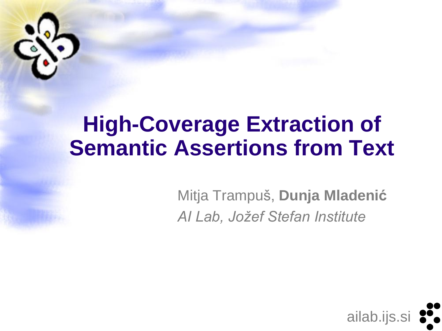

### **High-Coverage Extraction of Semantic Assertions from Text**

Mitja Trampuš, **Dunja Mladenić** *AI Lab, Jožef Stefan Institute*

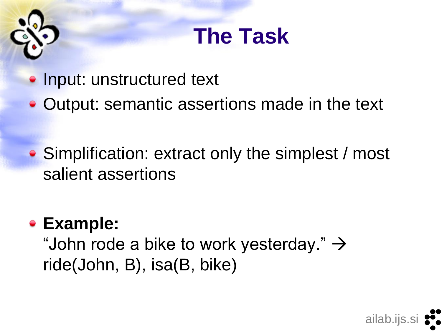# **The Task**

- Input: unstructured text
- Output: semantic assertions made in the text
- Simplification: extract only the simplest / most salient assertions

### **Example:**

"John rode a bike to work yesterday."  $\rightarrow$ ride(John, B), isa(B, bike)

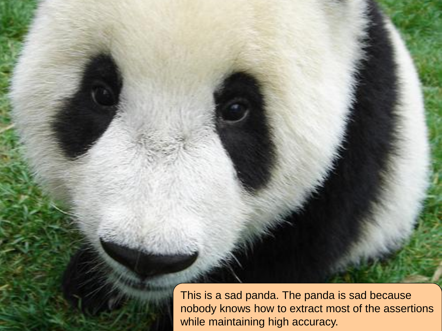This is a sad panda. The panda is sad because nobody knows how to extract most of the assertions while maintaining high accuracy.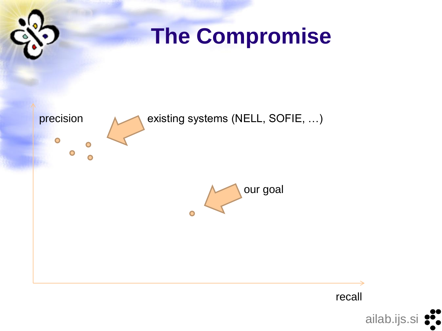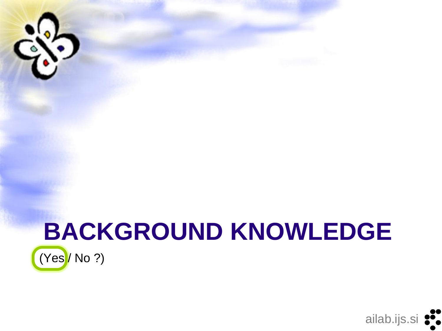

### **BACKGROUND KNOWLEDGE**  $(Yes / No ?)$

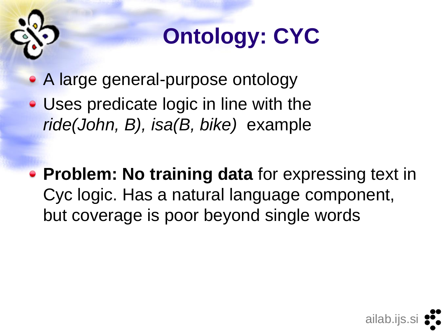

# **Ontology: CYC**

- A large general-purpose ontology
- Uses predicate logic in line with the *ride(John, B), isa(B, bike)* example
- **Problem: No training data** for expressing text in Cyc logic. Has a natural language component, but coverage is poor beyond single words

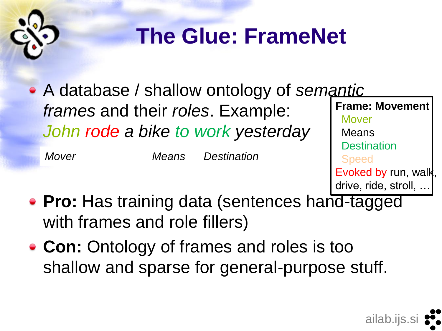

# **The Glue: FrameNet**

A database / shallow ontology of *semantic frames* and their *roles*. Example: *John rode a bike to work yesterday* **Frame: Movement** Mover Means *Mover Means Destination*

**Destination**  Speed Evoked by run, walk, drive, ride, stroll, …

- **Pro:** Has training data (sentences hand-tagged with frames and role fillers)
- **Con:** Ontology of frames and roles is too shallow and sparse for general-purpose stuff.

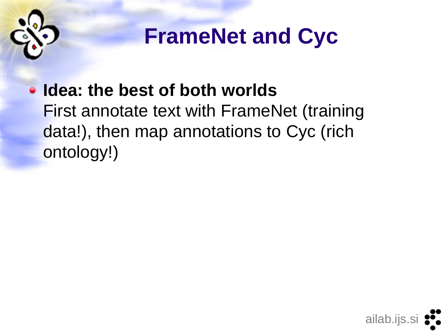

# **FrameNet and Cyc**

### **Idea: the best of both worlds** First annotate text with FrameNet (training data!), then map annotations to Cyc (rich ontology!)

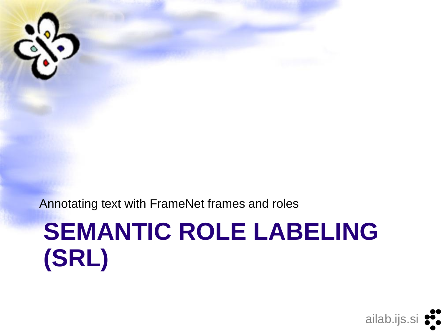

# **SEMANTIC ROLE LABELING (SRL)**

Annotating text with FrameNet frames and roles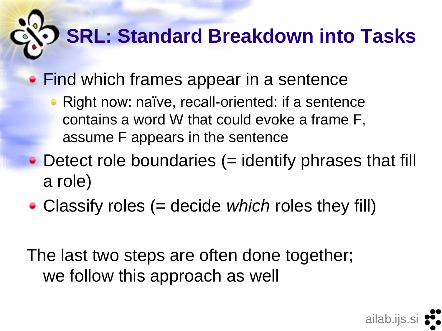# **SRL: Standard Breakdown into Tasks**

- **Find which frames appear in a sentence** 
	- Right now: naïve, recall-oriented: if a sentence contains a word W that could evoke a frame F, assume F appears in the sentence
- Detect role boundaries (= identify phrases that fill a role)
- Classify roles (= decide *which* roles they fill)

The last two steps are often done together; we follow this approach as well

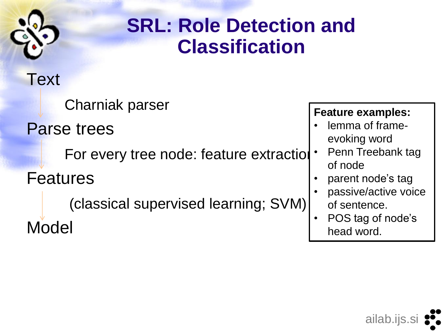

### **SRL: Role Detection and Classification**

### **Text**

Charniak parser

Parse trees

For every tree node: feature extraction

Features

Model

(classical supervised learning; SVM)

### **Feature examples:**

- lemma of frameevoking word
- Penn Treebank tag of node
- parent node's tag
- passive/active voice of sentence.
- POS tag of node's head word.

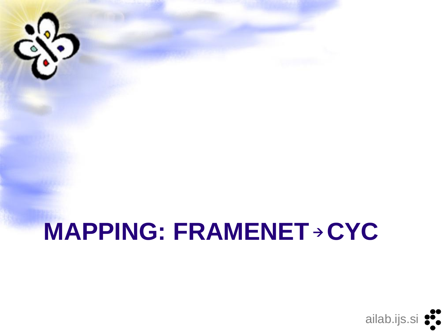# **MAPPING: FRAMENET > CYC**

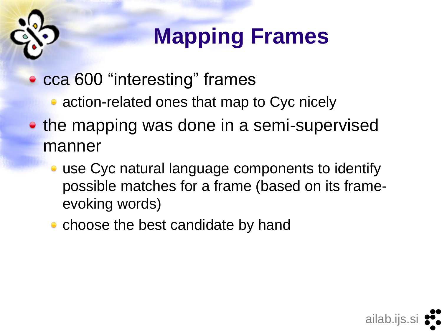# **Mapping Frames**

- cca 600 "interesting" frames
	- action-related ones that map to Cyc nicely
- the mapping was done in a semi-supervised manner
	- use Cyc natural language components to identify possible matches for a frame (based on its frameevoking words)

ailab.ijs.si

• choose the best candidate by hand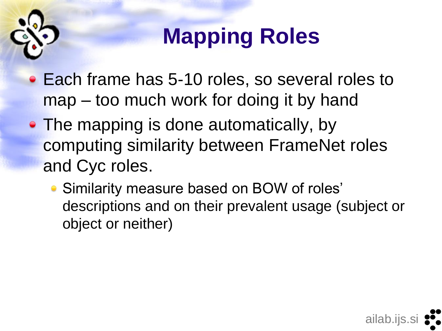

# **Mapping Roles**

- Each frame has 5-10 roles, so several roles to map – too much work for doing it by hand
- The mapping is done automatically, by computing similarity between FrameNet roles and Cyc roles.
	- Similarity measure based on BOW of roles' descriptions and on their prevalent usage (subject or object or neither)

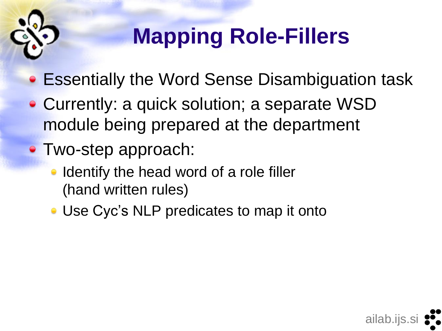

# **Mapping Role-Fillers**

ailab.ijs.si

- Essentially the Word Sense Disambiguation task
- Currently: a quick solution; a separate WSD module being prepared at the department
- Two-step approach:
	- Identify the head word of a role filler (hand written rules)
	- Use Cyc's NLP predicates to map it onto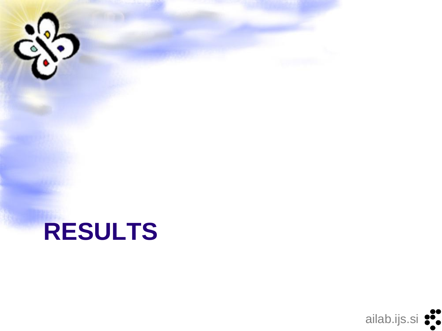

# **RESULTS**

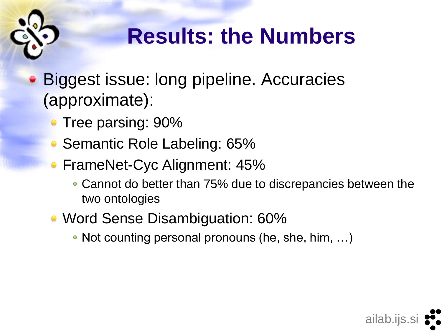

# **Results: the Numbers**

- Biggest issue: long pipeline. Accuracies (approximate):
	- Tree parsing: 90%
	- Semantic Role Labeling: 65%
	- FrameNet-Cyc Alignment: 45%
		- Cannot do better than 75% due to discrepancies between the two ontologies
	- Word Sense Disambiguation: 60%
		- Not counting personal pronouns (he, she, him, ...)

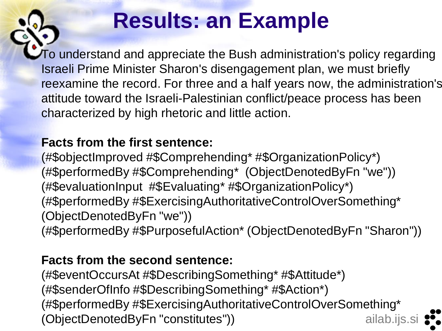# **Results: an Example**

To understand and appreciate the Bush administration's policy regarding Israeli Prime Minister Sharon's disengagement plan, we must briefly reexamine the record. For three and a half years now, the administration's attitude toward the Israeli-Palestinian conflict/peace process has been characterized by high rhetoric and little action.

#### **Facts from the first sentence:**

(#\$objectImproved #\$Comprehending\* #\$OrganizationPolicy\*) (#\$performedBy #\$Comprehending\* (ObjectDenotedByFn "we")) (#\$evaluationInput #\$Evaluating\* #\$OrganizationPolicy\*) (#\$performedBy #\$ExercisingAuthoritativeControlOverSomething\* (ObjectDenotedByFn "we")) (#\$performedBy #\$PurposefulAction\* (ObjectDenotedByFn "Sharon"))

#### **Facts from the second sentence:**

ailab.ijs.si (#\$eventOccursAt #\$DescribingSomething\* #\$Attitude\*) (#\$senderOfInfo #\$DescribingSomething\* #\$Action\*) (#\$performedBy #\$ExercisingAuthoritativeControlOverSomething\* (ObjectDenotedByFn "constitutes"))